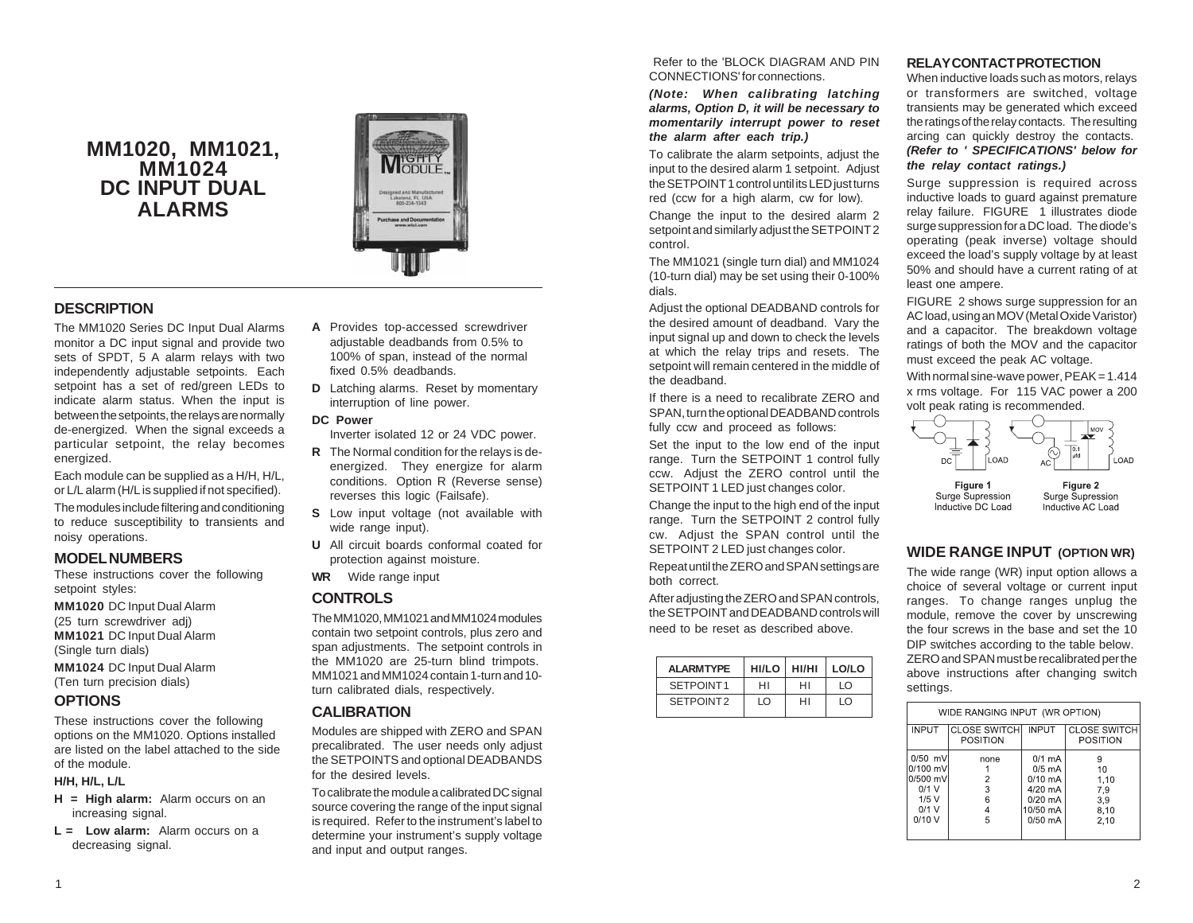# **MM1020, MM1021, MM1024 DC INPUT DUAL ALARMS**



### **DESCRIPTION**

The MM1020 Series DC Input Dual Alarms monitor a DC input signal and provide two sets of SPDT, 5 A alarm relays with two independently adjustable setpoints. Each setpoint has a set of red/green LEDs to indicate alarm status. When the input is between the setpoints, the relays are normally de-energized. When the signal exceeds a particular setpoint, the relay becomes energized.

Each module can be supplied as a H/H, H/L, or L/L alarm (H/L is supplied if not specified). The modules include filtering and conditioning to reduce susceptibility to transients and noisy operations.

### **MODEL NUMBERS**

These instructions cover the following setpoint styles:

**MM1020** DC Input Dual Alarm (25 turn screwdriver adj) **MM1021** DC Input Dual Alarm (Single turn dials) **MM1024** DC Input Dual Alarm (Ten turn precision dials)

### **OPTIONS**

These instructions cover the following options on the MM1020. Options installed are listed on the label attached to the side of the module.

#### **H/H, H/L, L/L**

- **H = High alarm:** Alarm occurs on an increasing signal.
- **L = Low alarm:** Alarm occurs on a decreasing signal.
- **A** Provides top-accessed screwdriver adjustable deadbands from 0.5% to 100% of span, instead of the normal fixed 0.5% deadbands.
- **D** Latching alarms. Reset by momentary interruption of line power.

#### **DC Power**

- Inverter isolated 12 or 24 VDC power.
- **R** The Normal condition for the relays is deenergized. They energize for alarm conditions. Option R (Reverse sense) reverses this logic (Failsafe).
- **S** Low input voltage (not available with wide range input).
- **U** All circuit boards conformal coated for protection against moisture.
- **WR** Wide range input

### **CONTROLS**

The MM1020, MM1021 and MM1024 modules contain two setpoint controls, plus zero and span adjustments. The setpoint controls in the MM1020 are 25-turn blind trimpots. MM1021 and MM1024 contain 1-turn and 10 turn calibrated dials, respectively.

#### **CALIBRATION**

Modules are shipped with ZERO and SPAN precalibrated. The user needs only adjust the SETPOINTS and optional DEADBANDS for the desired levels.

To calibrate the module a calibrated DC signal source covering the range of the input signal is required. Refer to the instrument's label to determine your instrument's supply voltage and input and output ranges.

 Refer to the 'BLOCK DIAGRAM AND PIN CONNECTIONS' for connections.

*(Note: When calibrating latching alarms, Option D, it will be necessary to momentarily interrupt power to reset the alarm after each trip.)*

To calibrate the alarm setpoints, adjust the input to the desired alarm 1 setpoint. Adjust the SETPOINT 1 control until its LED just turns red (ccw for a high alarm, cw for low)*.*

Change the input to the desired alarm 2 setpoint and similarly adjust the SETPOINT 2 control.

The MM1021 (single turn dial) and MM1024 (10-turn dial) may be set using their 0-100% dials.

Adjust the optional DEADBAND controls for the desired amount of deadband. Vary the input signal up and down to check the levels at which the relay trips and resets. The setpoint will remain centered in the middle of the deadband.

If there is a need to recalibrate ZERO and SPAN, turn the optional DEADBAND controls fully ccw and proceed as follows:

Set the input to the low end of the input range. Turn the SETPOINT 1 control fully ccw. Adjust the ZERO control until the SETPOINT 1 LED just changes color.

Change the input to the high end of the input range. Turn the SETPOINT 2 control fully cw. Adjust the SPAN control until the SETPOINT 2 LED just changes color.

Repeat until the ZERO and SPAN settings are both correct.

After adjusting the ZERO and SPAN controls, the SETPOINT and DEADBAND controls will need to be reset as described above.

| <b>ALARMTYPE</b>      |    | $HI/LO$   $HI/HI$   $LO/LO$ |    |
|-----------------------|----|-----------------------------|----|
| SFTPOINT1             | HI | HI                          | ΙO |
| SFTPOINT <sub>2</sub> | ΙO | HI                          | ΙO |

#### **RELAY CONTACT PROTECTION**

When inductive loads such as motors, relays or transformers are switched, voltage transients may be generated which exceed the ratings of the relay contacts. The resulting arcing can quickly destroy the contacts. *(Refer to ' SPECIFICATIONS' below for the relay contact ratings.)*

Surge suppression is required across inductive loads to guard against premature relay failure. FIGURE 1 illustrates diode surge suppression for a DC load. The diode's operating (peak inverse) voltage should exceed the load's supply voltage by at least 50% and should have a current rating of at least one ampere.

FIGURE 2 shows surge suppression for an AC load, using an MOV (Metal Oxide Varistor) and a capacitor. The breakdown voltage ratings of both the MOV and the capacitor must exceed the peak AC voltage.

With normal sine-wave power,  $PEAK = 1.414$ x rms voltage. For 115 VAC power a 200 volt peak rating is recommended.



## **WIDE RANGE INPUT (OPTION WR)**

The wide range (WR) input option allows a choice of several voltage or current input ranges. To change ranges unplug the module, remove the cover by unscrewing the four screws in the base and set the 10 DIP switches according to the table below. ZERO and SPAN must be recalibrated per the above instructions after changing switch settings.

| WIDE RANGING INPUT (WR OPTION) |          |           |                                                           |  |  |  |
|--------------------------------|----------|-----------|-----------------------------------------------------------|--|--|--|
| <b>INPUT</b>                   | POSITION |           | <b>CLOSE SWITCH INPUT CLOSE SWITCH</b><br><b>POSITION</b> |  |  |  |
| $0/50$ mV                      | none     | $0/1$ mA  | 9                                                         |  |  |  |
| $0/100$ mV                     |          | $0/5$ mA  | 10                                                        |  |  |  |
| 0/500 mV                       | 2        | $0/10$ mA | 1,10                                                      |  |  |  |
| $0/1$ V                        | 3        | 4/20 mA   | 7,9                                                       |  |  |  |
| 1/5V                           | 6        | $0/20$ mA | 3,9                                                       |  |  |  |
| $0/1$ V                        | 4        | 10/50 mA  | 8.10                                                      |  |  |  |
| 0/10V                          | 5        | $0/50$ mA | 2.10                                                      |  |  |  |
|                                |          |           |                                                           |  |  |  |
|                                |          |           |                                                           |  |  |  |